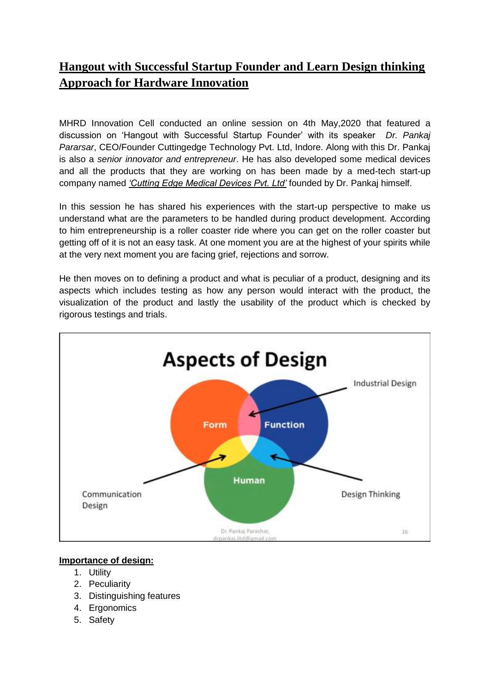## **Hangout with Successful Startup Founder and Learn Design thinking Approach for Hardware Innovation**

MHRD Innovation Cell conducted an online session on 4th May,2020 that featured a discussion on 'Hangout with Successful Startup Founder' with its speaker *Dr. Pankaj Pararsar*, CEO/Founder Cuttingedge Technology Pvt. Ltd, Indore. Along with this Dr. Pankaj is also a *senior innovator and entrepreneur*. He has also developed some medical devices and all the products that they are working on has been made by a med-tech start-up company named *'Cutting Edge Medical Devices Pvt. Ltd'* founded by Dr. Pankaj himself.

In this session he has shared his experiences with the start-up perspective to make us understand what are the parameters to be handled during product development. According to him entrepreneurship is a roller coaster ride where you can get on the roller coaster but getting off of it is not an easy task. At one moment you are at the highest of your spirits while at the very next moment you are facing grief, rejections and sorrow.

He then moves on to defining a product and what is peculiar of a product, designing and its aspects which includes testing as how any person would interact with the product, the visualization of the product and lastly the usability of the product which is checked by rigorous testings and trials.



## **Importance of design:**

- 1. Utility
- 2. Peculiarity
- 3. Distinguishing features
- 4. Ergonomics
- 5. Safety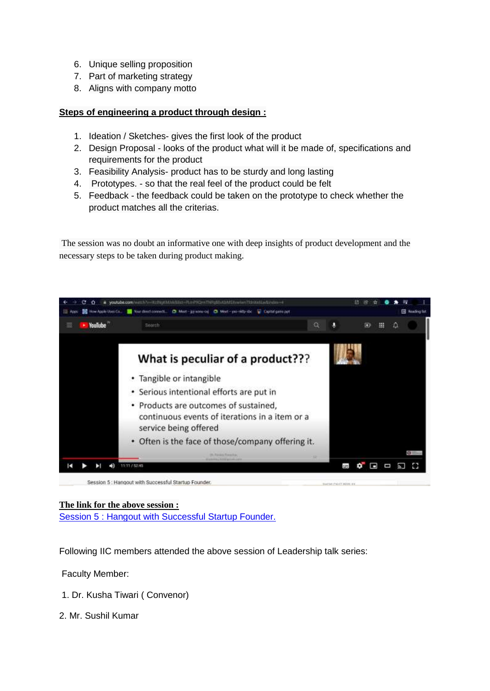- 6. Unique selling proposition
- 7. Part of marketing strategy
- 8. Aligns with company motto

## **Steps of engineering a product through design :**

- 1. Ideation / Sketches- gives the first look of the product
- 2. Design Proposal looks of the product what will it be made of, specifications and requirements for the product
- 3. Feasibility Analysis- product has to be sturdy and long lasting
- 4. Prototypes. so that the real feel of the product could be felt
- 5. Feedback the feedback could be taken on the prototype to check whether the product matches all the criterias.

The session was no doubt an informative one with deep insights of product development and the necessary steps to be taken during product making.



## **The link for the above session :**

[Session 5 : Hangout with Successful Startup Founder.](https://youtu.be/IKclNgKMJxk)

Following IIC members attended the above session of Leadership talk series:

Faculty Member:

- 1. Dr. Kusha Tiwari ( Convenor)
- 2. Mr. Sushil Kumar